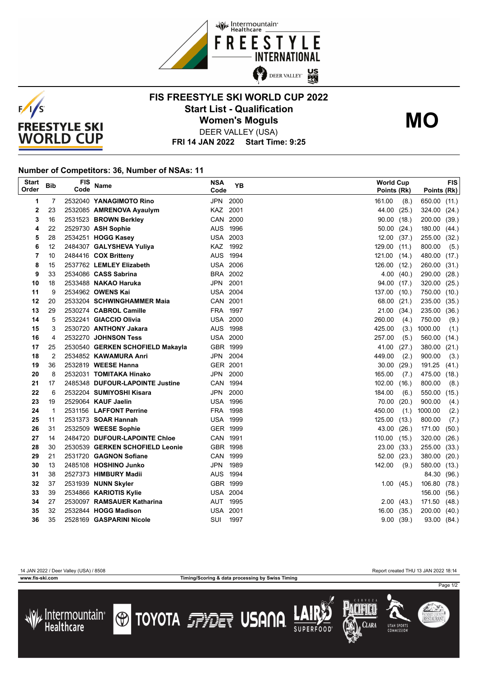



## **FIS FREESTYLE SKI WORLD CUP 2022 Start List - Qualification Women's Moguls MO**



DEER VALLEY (USA)

**FRI 14 JAN 2022 Start Time: 9:25**

## **Number of Competitors: 36, Number of NSAs: 11**

| <b>Start</b><br>Order | <b>Bib</b>     | <b>FIS</b><br>Code | Name                             | <b>NSA</b><br>Code | <b>YB</b> |        | <b>World Cup</b><br>Points (Rk) | Points (Rk) | <b>FIS</b> |
|-----------------------|----------------|--------------------|----------------------------------|--------------------|-----------|--------|---------------------------------|-------------|------------|
| 1                     | 7              |                    | 2532040 YANAGIMOTO Rino          | <b>JPN</b>         | 2000      | 161.00 | (8.)                            | 650.00      | (11.)      |
| 2                     | 23             |                    | 2532085 AMRENOVA Ayaulym         | <b>KAZ</b>         | 2001      | 44.00  | (25.)                           | 324.00      | (24.)      |
| 3                     | 16             |                    | 2531523 BROWN Berkley            | CAN                | 2000      | 90.00  | (18.)                           | 200.00      | (39.)      |
| 4                     | 22             |                    | 2529730 ASH Sophie               | <b>AUS</b>         | 1996      | 50.00  | (24.)                           | 180.00      | (44.)      |
| 5                     | 28             |                    | 2534251 HOGG Kasey               | <b>USA 2003</b>    |           | 12.00  | (37.)                           | 255.00      | (32.)      |
| 6                     | 12             |                    | 2484307 GALYSHEVA Yuliya         | KAZ                | 1992      | 129.00 | (11.)                           | 800.00      | (5.)       |
| 7                     | 10             |                    | 2484416 COX Britteny             | AUS 1994           |           | 121.00 | (14.)                           | 480.00      | (17.)      |
| 8                     | 15             |                    | 2537762 LEMLEY Elizabeth         | <b>USA 2006</b>    |           | 126.00 | (12.)                           | 260.00      | (31.)      |
| 9                     | 33             |                    | 2534086 CASS Sabrina             |                    | BRA 2002  | 4.00   | (40.)                           | 290.00      | (28.)      |
| 10                    | 18             |                    | 2533488 NAKAO Haruka             | JPN                | 2001      |        | 94.00 (17.)                     | 320.00      | (25.)      |
| 11                    | 9              |                    | 2534962 OWENS Kai                | <b>USA 2004</b>    |           | 137.00 | (10.)                           | 750.00      | (10.)      |
| 12                    | 20             |                    | 2533204 SCHWINGHAMMER Maia       | CAN 2001           |           | 68.00  | (21.)                           | 235.00      | (35.)      |
| 13                    | 29             |                    | 2530274 CABROL Camille           | FRA                | 1997      | 21.00  | (34.)                           | 235.00      | (36.)      |
| 14                    | 5              |                    | 2532241 GIACCIO Olivia           | <b>USA 2000</b>    |           | 260.00 | (4.)                            | 750.00      | (9.)       |
| 15                    | 3              |                    | 2530720 ANTHONY Jakara           | AUS 1998           |           | 425.00 | (3.)                            | 1000.00     | (1.)       |
| 16                    | 4              |                    | 2532270 JOHNSON Tess             | <b>USA 2000</b>    |           | 257.00 | (5.)                            | 560.00      | (14.)      |
| 17                    | 25             |                    | 2530540 GERKEN SCHOFIELD Makayla | GBR 1999           |           | 41.00  | (27.)                           | 380.00      | (21.)      |
| 18                    | $\overline{2}$ |                    | 2534852 KAWAMURA Anri            | JPN                | 2004      | 449.00 | (2.)                            | 900.00      | (3.)       |
| 19                    | 36             |                    | 2532819 WEESE Hanna              | GER 2001           |           | 30.00  | (29.)                           | 191.25      | (41.)      |
| 20                    | 8              |                    | 2532031 TOMITAKA Hinako          | JPN                | 2000      | 165.00 | (7.)                            | 475.00      | (18.)      |
| 21                    | 17             |                    | 2485348 DUFOUR-LAPOINTE Justine  | CAN 1994           |           | 102.00 | (16.)                           | 800.00      | (8.)       |
| 22                    | 6              |                    | 2532204 SUMIYOSHI Kisara         | JPN                | 2000      | 184.00 | (6.)                            | 550.00      | (15.)      |
| 23                    | 19             |                    | 2529064 KAUF Jaelin              | <b>USA 1996</b>    |           | 70.00  | (20.)                           | 900.00      | (4.)       |
| 24                    | $\mathbf{1}$   |                    | 2531156 LAFFONT Perrine          | <b>FRA</b>         | 1998      | 450.00 | (1.)                            | 1000.00     | (2.)       |
| 25                    | 11             |                    | 2531373 <b>SOAR Hannah</b>       | USA                | 1999      | 125.00 | (13.)                           | 800.00      | (7.)       |
| 26                    | 31             |                    | 2532509 WEESE Sophie             | GER 1999           |           | 43.00  | (26.)                           | 171.00      | (50.)      |
| 27                    | 14             |                    | 2484720 DUFOUR-LAPOINTE Chloe    | CAN 1991           |           | 110.00 | (15.)                           | 320.00      | (26.)      |
| 28                    | 30             |                    | 2530539 GERKEN SCHOFIELD Leonie  | GBR 1998           |           | 23.00  | (33.)                           | 255.00      | (33.)      |
| 29                    | 21             |                    | 2531720 GAGNON Sofiane           | CAN                | 1999      | 52.00  | (23.)                           | 380.00      | (20.)      |
| 30                    | 13             |                    | 2485108 HOSHINO Junko            | <b>JPN</b>         | 1989      | 142.00 | (9)                             | 580.00      | (13.)      |
| 31                    | 38             |                    | 2527373 HIMBURY Madii            | AUS 1994           |           |        |                                 | 84.30       | (96.)      |
| 32                    | 37             |                    | 2531939 NUNN Skyler              | GBR 1999           |           | 1.00   | (45.)                           | 106.80      | (78.)      |
| 33                    | 39             |                    | 2534866 KARIOTIS Kylie           | <b>USA 2004</b>    |           |        |                                 | 156.00      | (56.)      |
| 34                    | 27             |                    | 2530097 RAMSAUER Katharina       | AUT                | 1995      |        | 2.00(43)                        | 171.50      | (48.)      |
| 35                    | 32             |                    | 2532844 HOGG Madison             | USA                | 2001      | 16.00  | (35.)                           | 200.00      | (40.)      |
| 36                    | 35             |                    | 2528169 GASPARINI Nicole         | SUI                | 1997      |        | 9.00(39.)                       | 93.00 (84.) |            |

**www.fis-ski.com Timing/Scoring & data processing by Swiss Timing**

14 JAN 2022 / Deer Valley (USA) / 8508 Report created THU 13 JAN 2022 18:14